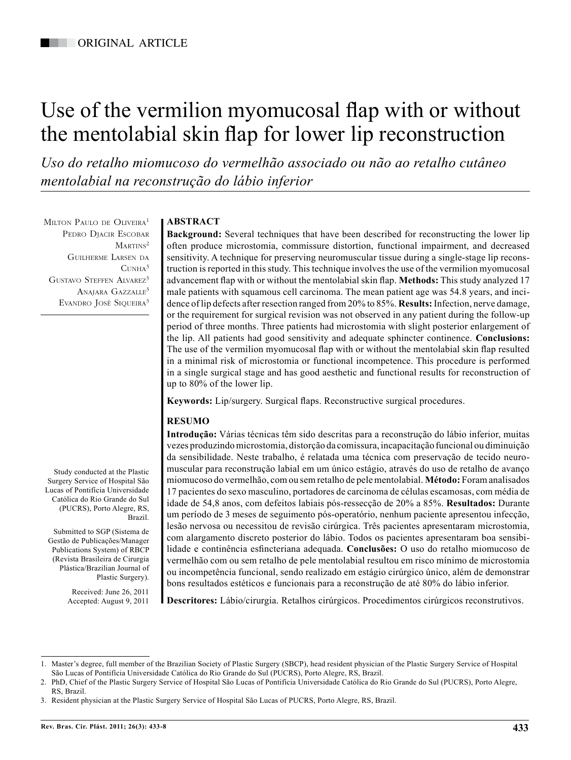# Use of the vermilion myomucosal flap with or without the mentolabial skin flap for lower lip reconstruction

*Uso do retalho miomucoso do vermelhão associado ou não ao retalho cutâneo mentolabial na reconstrução do lábio inferior*

MILTON PAULO DE OLIVEIRA<sup>1</sup> Pedro Djacir Escobar MARTINS<sup>2</sup> Guilherme Larsen da  $C$ UNHA $3$ GUSTAVO STEFFEN ALVAREZ<sup>3</sup> ANAJARA GAZZALLE<sup>3</sup> Evandro José Siqueira<sup>3</sup>

Study conducted at the Plastic Surgery Service of Hospital São Lucas of Pontifícia Universidade Católica do Rio Grande do Sul (PUCRS), Porto Alegre, RS,

Submitted to SGP (Sistema de Gestão de Publicações/Manager Publications System) of RBCP (Revista Brasileira de Cirurgia Plástica/Brazilian Journal of

Brazil.

Plastic Surgery). Received: June 26, 2011 Accepted: August 9, 2011

# **ABSTRACT**

**Background:** Several techniques that have been described for reconstructing the lower lip often produce microstomia, commissure distortion, functional impairment, and decreased sensitivity. A technique for preserving neuromuscular tissue during a single-stage lip reconstruction is reported in this study. This technique involves the use of the vermilion myomucosal advancement flap with or without the mentolabial skin flap. **Methods:** This study analyzed 17 male patients with squamous cell carcinoma. The mean patient age was 54.8 years, and incidence of lip defects after resection ranged from 20% to 85%. **Results:** Infection, nerve damage, or the requirement for surgical revision was not observed in any patient during the follow-up period of three months. Three patients had microstomia with slight posterior enlargement of the lip. All patients had good sensitivity and adequate sphincter continence. **Conclusions:**  The use of the vermilion myomucosal flap with or without the mentolabial skin flap resulted in a minimal risk of microstomia or functional incompetence. This procedure is performed in a single surgical stage and has good aesthetic and functional results for reconstruction of up to 80% of the lower lip.

**Keywords:** Lip/surgery. Surgical flaps. Reconstructive surgical procedures.

## **RESUMO**

**Introdução:** Várias técnicas têm sido descritas para a reconstrução do lábio inferior, muitas vezes produzindo microstomia, distorção da comissura, incapacitação funcional ou diminuição da sensibilidade. Neste trabalho, é relatada uma técnica com preservação de tecido neuromuscular para reconstrução labial em um único estágio, através do uso de retalho de avanço miomucoso do vermelhão, com ou sem retalho de pele mentolabial. **Método:** Foram analisados 17 pacientes do sexo masculino, portadores de carcinoma de células escamosas, com média de idade de 54,8 anos, com defeitos labiais pós-ressecção de 20% a 85%. **Resultados:** Durante um período de 3 meses de seguimento pós-operatório, nenhum paciente apresentou infecção, lesão nervosa ou necessitou de revisão cirúrgica. Três pacientes apresentaram microstomia, com alargamento discreto posterior do lábio. Todos os pacientes apresentaram boa sensibilidade e continência esfincteriana adequada. **Conclusões:** O uso do retalho miomucoso de vermelhão com ou sem retalho de pele mentolabial resultou em risco mínimo de microstomia ou incompetência funcional, sendo realizado em estágio cirúrgico único, além de demonstrar bons resultados estéticos e funcionais para a reconstrução de até 80% do lábio inferior.

**Descritores:** Lábio/cirurgia. Retalhos cirúrgicos. Procedimentos cirúrgicos reconstrutivos.

<sup>1.</sup> Master's degree, full member of the Brazilian Society of Plastic Surgery (SBCP), head resident physician of the Plastic Surgery Service of Hospital São Lucas of Pontifícia Universidade Católica do Rio Grande do Sul (PUCRS), Porto Alegre, RS, Brazil.

<sup>2.</sup> PhD, Chief of the Plastic Surgery Service of Hospital São Lucas of Pontifícia Universidade Católica do Rio Grande do Sul (PUCRS), Porto Alegre, RS, Brazil.

<sup>3.</sup> Resident physician at the Plastic Surgery Service of Hospital São Lucas of PUCRS, Porto Alegre, RS, Brazil.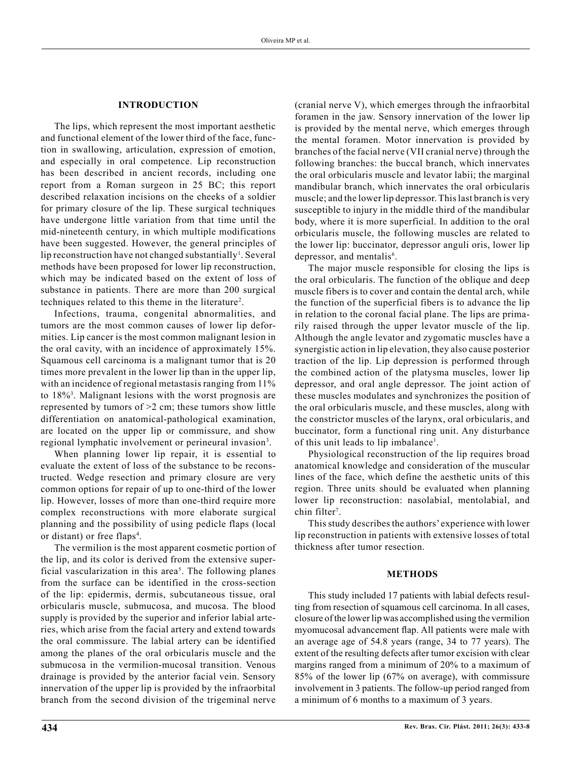## **INTRODUCTION**

The lips, which represent the most important aesthetic and functional element of the lower third of the face, function in swallowing, articulation, expression of emotion, and especially in oral competence. Lip reconstruction has been described in ancient records, including one report from a Roman surgeon in 25 BC; this report described relaxation incisions on the cheeks of a soldier for primary closure of the lip. These surgical techniques have undergone little variation from that time until the mid-nineteenth century, in which multiple modifications have been suggested. However, the general principles of lip reconstruction have not changed substantially<sup>1</sup>. Several methods have been proposed for lower lip reconstruction, which may be indicated based on the extent of loss of substance in patients. There are more than 200 surgical techniques related to this theme in the literature<sup>2</sup>.

Infections, trauma, congenital abnormalities, and tumors are the most common causes of lower lip deformities. Lip cancer is the most common malignant lesion in the oral cavity, with an incidence of approximately 15%. Squamous cell carcinoma is a malignant tumor that is 20 times more prevalent in the lower lip than in the upper lip, with an incidence of regional metastasis ranging from 11% to 18%<sup>3</sup> . Malignant lesions with the worst prognosis are represented by tumors of  $>2$  cm; these tumors show little differentiation on anatomical-pathological examination, are located on the upper lip or commissure, and show regional lymphatic involvement or perineural invasion<sup>3</sup>.

When planning lower lip repair, it is essential to evaluate the extent of loss of the substance to be reconstructed. Wedge resection and primary closure are very common options for repair of up to one-third of the lower lip. However, losses of more than one-third require more complex reconstructions with more elaborate surgical planning and the possibility of using pedicle flaps (local or distant) or free flaps<sup>4</sup>.

The vermilion is the most apparent cosmetic portion of the lip, and its color is derived from the extensive superficial vascularization in this area<sup>5</sup>. The following planes from the surface can be identified in the cross-section of the lip: epidermis, dermis, subcutaneous tissue, oral orbicularis muscle, submucosa, and mucosa. The blood supply is provided by the superior and inferior labial arteries, which arise from the facial artery and extend towards the oral commissure. The labial artery can be identified among the planes of the oral orbicularis muscle and the submucosa in the vermilion-mucosal transition. Venous drainage is provided by the anterior facial vein. Sensory innervation of the upper lip is provided by the infraorbital branch from the second division of the trigeminal nerve

(cranial nerve V), which emerges through the infraorbital foramen in the jaw. Sensory innervation of the lower lip is provided by the mental nerve, which emerges through the mental foramen. Motor innervation is provided by branches of the facial nerve (VII cranial nerve) through the following branches: the buccal branch, which innervates the oral orbicularis muscle and levator labii; the marginal mandibular branch, which innervates the oral orbicularis muscle; and the lower lip depressor. This last branch is very susceptible to injury in the middle third of the mandibular body, where it is more superficial. In addition to the oral orbicularis muscle, the following muscles are related to the lower lip: buccinator, depressor anguli oris, lower lip depressor, and mentalis<sup>6</sup>.

The major muscle responsible for closing the lips is the oral orbicularis. The function of the oblique and deep muscle fibers is to cover and contain the dental arch, while the function of the superficial fibers is to advance the lip in relation to the coronal facial plane. The lips are primarily raised through the upper levator muscle of the lip. Although the angle levator and zygomatic muscles have a synergistic action in lip elevation, they also cause posterior traction of the lip. Lip depression is performed through the combined action of the platysma muscles, lower lip depressor, and oral angle depressor. The joint action of these muscles modulates and synchronizes the position of the oral orbicularis muscle, and these muscles, along with the constrictor muscles of the larynx, oral orbicularis, and buccinator, form a functional ring unit. Any disturbance of this unit leads to lip imbalance<sup>1</sup>.

Physiological reconstruction of the lip requires broad anatomical knowledge and consideration of the muscular lines of the face, which define the aesthetic units of this region. Three units should be evaluated when planning lower lip reconstruction: nasolabial, mentolabial, and chin filter<sup>7</sup>.

This study describes the authors' experience with lower lip reconstruction in patients with extensive losses of total thickness after tumor resection.

#### **METHODS**

This study included 17 patients with labial defects resulting from resection of squamous cell carcinoma. In all cases, closure of the lower lip was accomplished using the vermilion myomucosal advancement flap. All patients were male with an average age of 54.8 years (range, 34 to 77 years). The extent of the resulting defects after tumor excision with clear margins ranged from a minimum of 20% to a maximum of 85% of the lower lip (67% on average), with commissure involvement in 3 patients. The follow-up period ranged from a minimum of 6 months to a maximum of 3 years.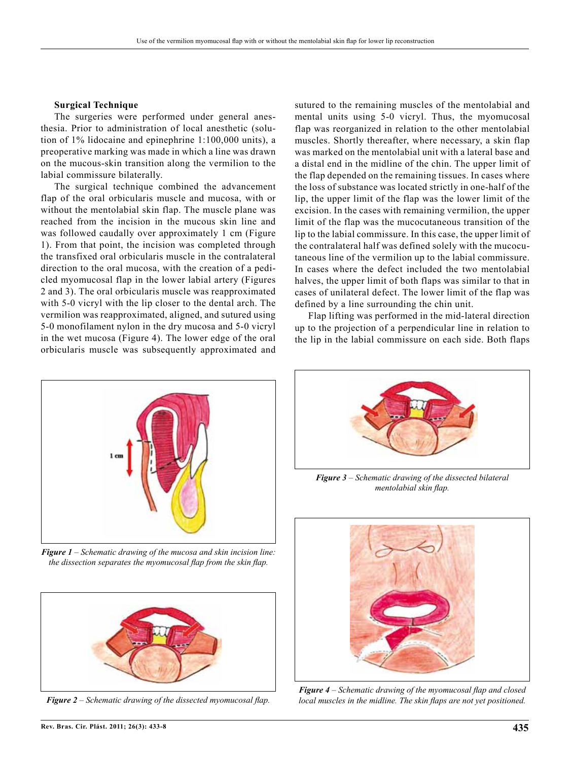## **Surgical Technique**

The surgeries were performed under general anesthesia. Prior to administration of local anesthetic (solution of 1% lidocaine and epinephrine 1:100,000 units), a preoperative marking was made in which a line was drawn on the mucous-skin transition along the vermilion to the labial commissure bilaterally.

The surgical technique combined the advancement flap of the oral orbicularis muscle and mucosa, with or without the mentolabial skin flap. The muscle plane was reached from the incision in the mucous skin line and was followed caudally over approximately 1 cm (Figure 1). From that point, the incision was completed through the transfixed oral orbicularis muscle in the contralateral direction to the oral mucosa, with the creation of a pedicled myomucosal flap in the lower labial artery (Figures 2 and 3). The oral orbicularis muscle was reapproximated with 5-0 vicryl with the lip closer to the dental arch. The vermilion was reapproximated, aligned, and sutured using 5-0 monofilament nylon in the dry mucosa and 5-0 vicryl in the wet mucosa (Figure 4). The lower edge of the oral orbicularis muscle was subsequently approximated and

sutured to the remaining muscles of the mentolabial and mental units using 5-0 vicryl. Thus, the myomucosal flap was reorganized in relation to the other mentolabial muscles. Shortly thereafter, where necessary, a skin flap was marked on the mentolabial unit with a lateral base and a distal end in the midline of the chin. The upper limit of the flap depended on the remaining tissues. In cases where the loss of substance was located strictly in one-half of the lip, the upper limit of the flap was the lower limit of the excision. In the cases with remaining vermilion, the upper limit of the flap was the mucocutaneous transition of the lip to the labial commissure. In this case, the upper limit of the contralateral half was defined solely with the mucocutaneous line of the vermilion up to the labial commissure. In cases where the defect included the two mentolabial halves, the upper limit of both flaps was similar to that in cases of unilateral defect. The lower limit of the flap was defined by a line surrounding the chin unit.

Flap lifting was performed in the mid-lateral direction up to the projection of a perpendicular line in relation to the lip in the labial commissure on each side. Both flaps



*Figure 1 – Schematic drawing of the mucosa and skin incision line: the dissection separates the myomucosal flap from the skin flap.*



*Figure 2 – Schematic drawing of the dissected myomucosal flap.*



*Figure 3 – Schematic drawing of the dissected bilateral mentolabial skin flap.*



*Figure 4 – Schematic drawing of the myomucosal flap and closed local muscles in the midline. The skin flaps are not yet positioned.*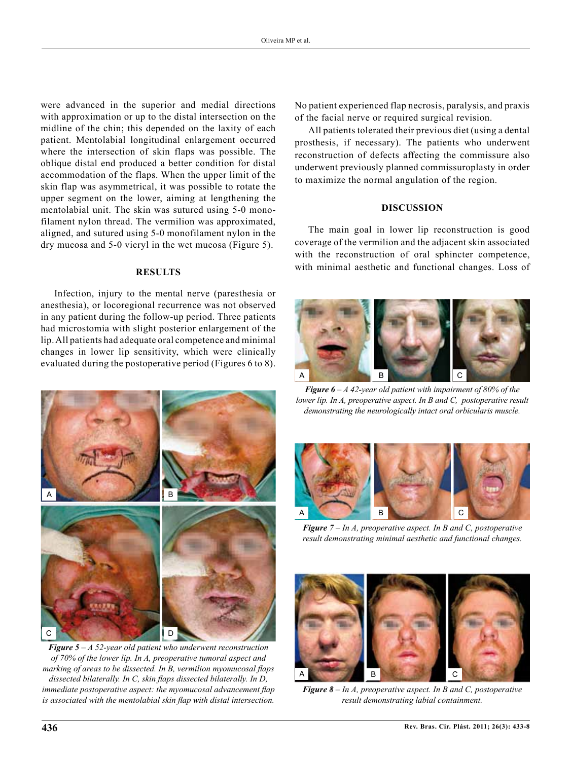were advanced in the superior and medial directions with approximation or up to the distal intersection on the midline of the chin; this depended on the laxity of each patient. Mentolabial longitudinal enlargement occurred where the intersection of skin flaps was possible. The oblique distal end produced a better condition for distal accommodation of the flaps. When the upper limit of the skin flap was asymmetrical, it was possible to rotate the upper segment on the lower, aiming at lengthening the mentolabial unit. The skin was sutured using 5-0 monofilament nylon thread. The vermilion was approximated, aligned, and sutured using 5-0 monofilament nylon in the dry mucosa and 5-0 vicryl in the wet mucosa (Figure 5).

## **RESULTS**

Infection, injury to the mental nerve (paresthesia or anesthesia), or locoregional recurrence was not observed in any patient during the follow-up period. Three patients had microstomia with slight posterior enlargement of the lip. All patients had adequate oral competence and minimal changes in lower lip sensitivity, which were clinically evaluated during the postoperative period (Figures 6 to 8).



*Figure 5 – A 52-year old patient who underwent reconstruction of 70% of the lower lip. In A, preoperative tumoral aspect and marking of areas to be dissected. In B, vermilion myomucosal flaps dissected bilaterally. In C, skin flaps dissected bilaterally. In D, immediate postoperative aspect: the myomucosal advancement flap is associated with the mentolabial skin flap with distal intersection.* 

No patient experienced flap necrosis, paralysis, and praxis of the facial nerve or required surgical revision.

All patients tolerated their previous diet (using a dental prosthesis, if necessary). The patients who underwent reconstruction of defects affecting the commissure also underwent previously planned commissuroplasty in order to maximize the normal angulation of the region.

## **DISCUSSION**

The main goal in lower lip reconstruction is good coverage of the vermilion and the adjacent skin associated with the reconstruction of oral sphincter competence, with minimal aesthetic and functional changes. Loss of



*Figure 6 – A 42-year old patient with impairment of 80% of the lower lip. In A, preoperative aspect. In B and C, postoperative result demonstrating the neurologically intact oral orbicularis muscle.*



*Figure 7 – In A, preoperative aspect. In B and C, postoperative result demonstrating minimal aesthetic and functional changes.*



*Figure 8 – In A, preoperative aspect. In B and C, postoperative result demonstrating labial containment.*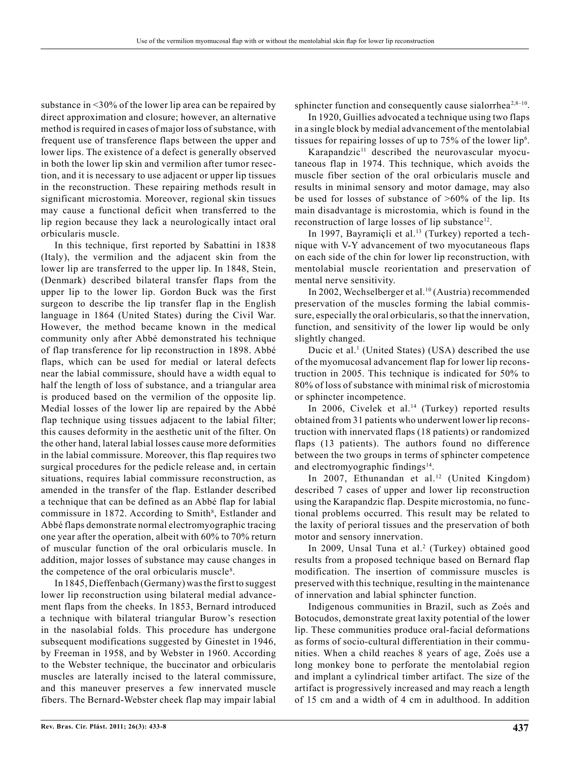In 1845, Dieffenbach (Germany) was the first to suggest lower lip reconstruction using bilateral medial advancement flaps from the cheeks. In 1853, Bernard introduced a technique with bilateral triangular Burow's resection in the nasolabial folds. This procedure has undergone subsequent modifications suggested by Ginestet in 1946, by Freeman in 1958, and by Webster in 1960. According to the Webster technique, the buccinator and orbicularis muscles are laterally incised to the lateral commissure, and this maneuver preserves a few innervated muscle fibers. The Bernard-Webster cheek flap may impair labial

substance in <30% of the lower lip area can be repaired by direct approximation and closure; however, an alternative method is required in cases of major loss of substance, with frequent use of transference flaps between the upper and lower lips. The existence of a defect is generally observed in both the lower lip skin and vermilion after tumor resection, and it is necessary to use adjacent or upper lip tissues in the reconstruction. These repairing methods result in significant microstomia. Moreover, regional skin tissues may cause a functional deficit when transferred to the lip region because they lack a neurologically intact oral

In this technique, first reported by Sabattini in 1838 (Italy), the vermilion and the adjacent skin from the lower lip are transferred to the upper lip. In 1848, Stein, (Denmark) described bilateral transfer flaps from the upper lip to the lower lip. Gordon Buck was the first surgeon to describe the lip transfer flap in the English language in 1864 (United States) during the Civil War. However, the method became known in the medical community only after Abbé demonstrated his technique of flap transference for lip reconstruction in 1898. Abbé flaps, which can be used for medial or lateral defects near the labial commissure, should have a width equal to half the length of loss of substance, and a triangular area is produced based on the vermilion of the opposite lip. Medial losses of the lower lip are repaired by the Abbé flap technique using tissues adjacent to the labial filter; this causes deformity in the aesthetic unit of the filter. On the other hand, lateral labial losses cause more deformities in the labial commissure. Moreover, this flap requires two surgical procedures for the pedicle release and, in certain situations, requires labial commissure reconstruction, as amended in the transfer of the flap. Estlander described a technique that can be defined as an Abbé flap for labial commissure in 1872. According to Smith<sup>8</sup>, Estlander and Abbé flaps demonstrate normal electromyographic tracing one year after the operation, albeit with 60% to 70% return of muscular function of the oral orbicularis muscle. In addition, major losses of substance may cause changes in

orbicularis muscle.

sphincter function and consequently cause sialor the  $a^{2,8-10}$ .

In 1920, Guillies advocated a technique using two flaps in a single block by medial advancement of the mentolabial tissues for repairing losses of up to  $75\%$  of the lower lip<sup>6</sup>.

Karapandzic<sup>11</sup> described the neurovascular myocutaneous flap in 1974. This technique, which avoids the muscle fiber section of the oral orbicularis muscle and results in minimal sensory and motor damage, may also be used for losses of substance of >60% of the lip. Its main disadvantage is microstomia, which is found in the reconstruction of large losses of lip substance<sup>12</sup>.

In 1997, Bayramiçli et al.<sup>13</sup> (Turkey) reported a technique with V-Y advancement of two myocutaneous flaps on each side of the chin for lower lip reconstruction, with mentolabial muscle reorientation and preservation of mental nerve sensitivity.

In 2002, Wechselberger et al.<sup>10</sup> (Austria) recommended preservation of the muscles forming the labial commissure, especially the oral orbicularis, so that the innervation, function, and sensitivity of the lower lip would be only slightly changed.

Ducic et al.<sup>1</sup> (United States) (USA) described the use of the myomucosal advancement flap for lower lip reconstruction in 2005. This technique is indicated for 50% to 80% of loss of substance with minimal risk of microstomia or sphincter incompetence.

In 2006, Civelek et al.<sup>14</sup> (Turkey) reported results obtained from 31 patients who underwent lower lip reconstruction with innervated flaps (18 patients) or randomized flaps (13 patients). The authors found no difference between the two groups in terms of sphincter competence and electromyographic findings<sup>14</sup>.

In 2007, Ethunandan et al.<sup>12</sup> (United Kingdom) described 7 cases of upper and lower lip reconstruction using the Karapandzic flap. Despite microstomia, no functional problems occurred. This result may be related to the laxity of perioral tissues and the preservation of both motor and sensory innervation.

In 2009, Unsal Tuna et al.<sup>2</sup> (Turkey) obtained good results from a proposed technique based on Bernard flap modification. The insertion of commissure muscles is preserved with this technique, resulting in the maintenance of innervation and labial sphincter function.

Indigenous communities in Brazil, such as Zoés and Botocudos, demonstrate great laxity potential of the lower lip. These communities produce oral-facial deformations as forms of socio-cultural differentiation in their communities. When a child reaches 8 years of age, Zoés use a long monkey bone to perforate the mentolabial region and implant a cylindrical timber artifact. The size of the artifact is progressively increased and may reach a length of 15 cm and a width of 4 cm in adulthood. In addition